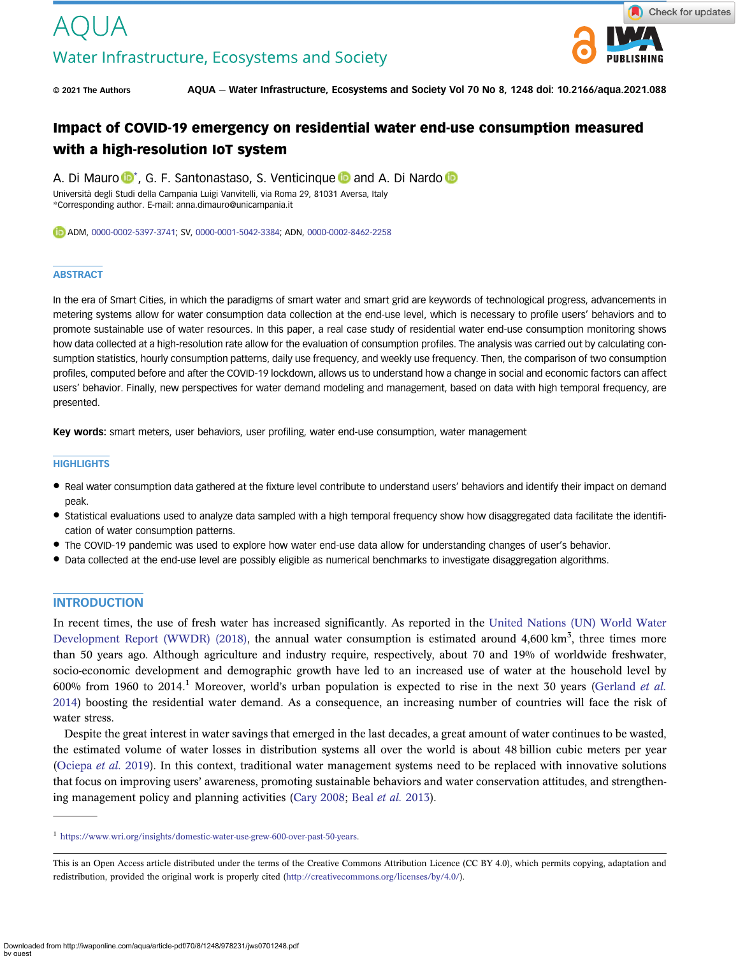# AOU JA Water Infrastructure, Ecosystems and Society



© 2021 The Authors AQUA — Water Infrastructure, Ecosystems and Society Vol 70 No 8, 1248 doi: 10.2166/aqua.2021.088

# Impact of COVID-19 emergency on residential water end-use consumption measured with a high-resolution IoT system

A. Di Mauro  $\mathbb{D}^*$ , G. F. Santonastaso, S. Venticinque  $\mathbb{D}$  and A. Di Nardo  $\mathbb{D}$ Università degli Studi della Campania Luigi Vanvitelli, via Roma 29, 81031 Aversa, Italy \*Corresponding author. E-mail: [anna.dimauro@unicampania.it](mailto:anna.dimauro@unicampania.it)

ADM, [0000-0002-5397-3741;](http://orcid.org/0000-0002-5397-3741) SV, [0000-0001-5042-3384;](http://orcid.org/0000-0001-5042-3384) ADN, [0000-0002-8462-2258](http://orcid.org/0000-0002-8462-2258)

#### **ABSTRACT**

In the era of Smart Cities, in which the paradigms of smart water and smart grid are keywords of technological progress, advancements in metering systems allow for water consumption data collection at the end-use level, which is necessary to profile users' behaviors and to promote sustainable use of water resources. In this paper, a real case study of residential water end-use consumption monitoring shows how data collected at a high-resolution rate allow for the evaluation of consumption profiles. The analysis was carried out by calculating consumption statistics, hourly consumption patterns, daily use frequency, and weekly use frequency. Then, the comparison of two consumption profiles, computed before and after the COVID-19 lockdown, allows us to understand how a change in social and economic factors can affect users' behavior. Finally, new perspectives for water demand modeling and management, based on data with high temporal frequency, are presented.

Key words: smart meters, user behaviors, user profiling, water end-use consumption, water management

#### **HIGHLIGHTS**

- Real water consumption data gathered at the fixture level contribute to understand users' behaviors and identify their impact on demand peak.
- Statistical evaluations used to analyze data sampled with a high temporal frequency show how disaggregated data facilitate the identification of water consumption patterns.
- The COVID-19 pandemic was used to explore how water end-use data allow for understanding changes of user's behavior.
- Data collected at the end-use level are possibly eligible as numerical benchmarks to investigate disaggregation algorithms.

#### **INTRODUCTION**

In recent times, the use of fresh water has increased significantly. As reported in the [United Nations \(UN\) World Water](#page-8-0) [Development Report \(WWDR\) \(2018\)](#page-8-0), the annual water consumption is estimated around  $4,600 \text{ km}^3$ , three times more than 50 years ago. Although agriculture and industry require, respectively, about 70 and 19% of worldwide freshwater, socio-economic development and demographic growth have led to an increased use of water at the household level by 600% from 1960 to 2014.<sup>1</sup> Moreover, world's urban population is expected to rise in the next 30 years ([Gerland](#page-7-0) *et al.*) [2014](#page-7-0)) boosting the residential water demand. As a consequence, an increasing number of countries will face the risk of water stress.

Despite the great interest in water savings that emerged in the last decades, a great amount of water continues to be wasted, the estimated volume of water losses in distribution systems all over the world is about 48 billion cubic meters per year ([Ociepa](#page-8-0) et al. 2019). In this context, traditional water management systems need to be replaced with innovative solutions that focus on improving users' awareness, promoting sustainable behaviors and water conservation attitudes, and strengthening management policy and planning activities [\(Cary 2008](#page-7-0); Beal et al. [2013\)](#page-7-0).

<sup>1</sup> <https://www.wri.org/insights/domestic-water-use-grew-600-over-past-50-years>.

This is an Open Access article distributed under the terms of the Creative Commons Attribution Licence (CC BY 4.0), which permits copying, adaptation and redistribution, provided the original work is properly cited [\(http://creativecommons.org/licenses/by/4.0/](http://creativecommons.org/licenses/by/4.0/)).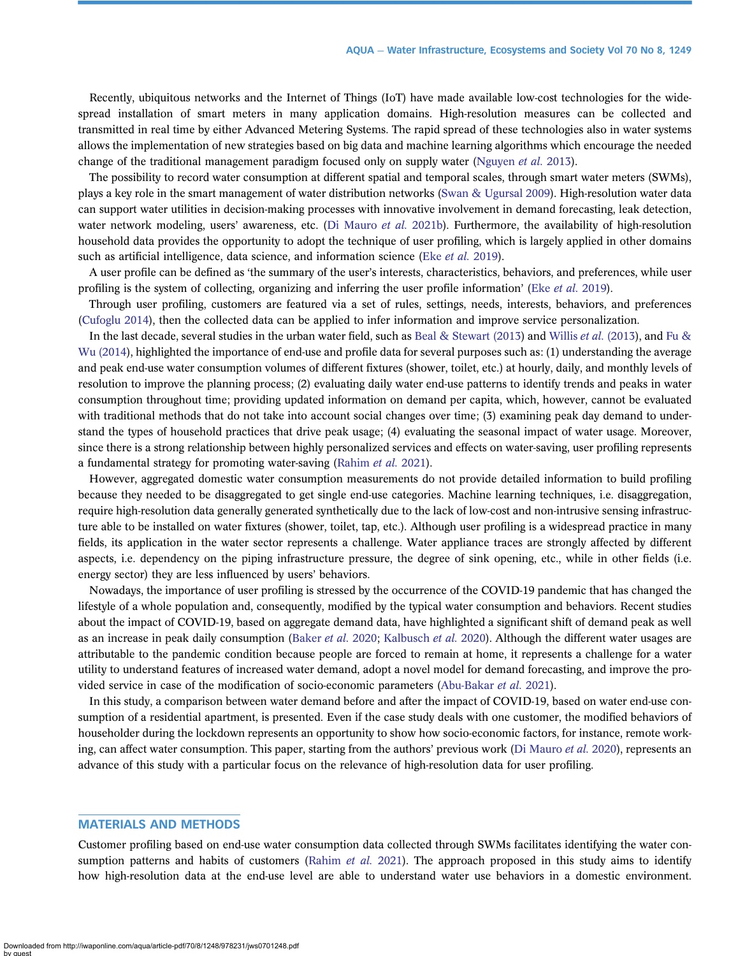Recently, ubiquitous networks and the Internet of Things (IoT) have made available low-cost technologies for the widespread installation of smart meters in many application domains. High-resolution measures can be collected and transmitted in real time by either Advanced Metering Systems. The rapid spread of these technologies also in water systems allows the implementation of new strategies based on big data and machine learning algorithms which encourage the needed change of the traditional management paradigm focused only on supply water ([Nguyen](#page-7-0) et al. 2013).

The possibility to record water consumption at different spatial and temporal scales, through smart water meters (SWMs), plays a key role in the smart management of water distribution networks [\(Swan & Ugursal 2009](#page-8-0)). High-resolution water data can support water utilities in decision-making processes with innovative involvement in demand forecasting, leak detection, water network modeling, users' awareness, etc. ([Di Mauro](#page-7-0) et al. 2021b). Furthermore, the availability of high-resolution household data provides the opportunity to adopt the technique of user profiling, which is largely applied in other domains such as artificial intelligence, data science, and information science (Eke *[et al.](#page-7-0)* 2019).

A user profile can be defined as 'the summary of the user's interests, characteristics, behaviors, and preferences, while user profiling is the system of collecting, organizing and inferring the user profile information' (Eke [et al.](#page-7-0) 2019).

Through user profiling, customers are featured via a set of rules, settings, needs, interests, behaviors, and preferences [\(Cufoglu 2014\)](#page-7-0), then the collected data can be applied to infer information and improve service personalization.

In the last decade, several studies in the urban water field, such as [Beal & Stewart \(2013](#page-7-0)) and [Willis](#page-8-0) *et al.* (2013), and [Fu &](#page-7-0) [Wu \(2014\)](#page-7-0), highlighted the importance of end-use and profile data for several purposes such as: (1) understanding the average and peak end-use water consumption volumes of different fixtures (shower, toilet, etc.) at hourly, daily, and monthly levels of resolution to improve the planning process; (2) evaluating daily water end-use patterns to identify trends and peaks in water consumption throughout time; providing updated information on demand per capita, which, however, cannot be evaluated with traditional methods that do not take into account social changes over time; (3) examining peak day demand to understand the types of household practices that drive peak usage; (4) evaluating the seasonal impact of water usage. Moreover, since there is a strong relationship between highly personalized services and effects on water-saving, user profiling represents a fundamental strategy for promoting water-saving ([Rahim](#page-8-0) et al. 2021).

However, aggregated domestic water consumption measurements do not provide detailed information to build profiling because they needed to be disaggregated to get single end-use categories. Machine learning techniques, i.e. disaggregation, require high-resolution data generally generated synthetically due to the lack of low-cost and non-intrusive sensing infrastructure able to be installed on water fixtures (shower, toilet, tap, etc.). Although user profiling is a widespread practice in many fields, its application in the water sector represents a challenge. Water appliance traces are strongly affected by different aspects, i.e. dependency on the piping infrastructure pressure, the degree of sink opening, etc., while in other fields (i.e. energy sector) they are less influenced by users' behaviors.

Nowadays, the importance of user profiling is stressed by the occurrence of the COVID-19 pandemic that has changed the lifestyle of a whole population and, consequently, modified by the typical water consumption and behaviors. Recent studies about the impact of COVID-19, based on aggregate demand data, have highlighted a significant shift of demand peak as well as an increase in peak daily consumption ([Baker](#page-7-0) et al. 2020; [Kalbusch](#page-7-0) et al. 2020). Although the different water usages are attributable to the pandemic condition because people are forced to remain at home, it represents a challenge for a water utility to understand features of increased water demand, adopt a novel model for demand forecasting, and improve the pro-vided service in case of the modification of socio-economic parameters ([Abu-Bakar](#page-7-0) et al. 2021).

In this study, a comparison between water demand before and after the impact of COVID-19, based on water end-use consumption of a residential apartment, is presented. Even if the case study deals with one customer, the modified behaviors of householder during the lockdown represents an opportunity to show how socio-economic factors, for instance, remote work-ing, can affect water consumption. This paper, starting from the authors' previous work ([Di Mauro](#page-7-0) *et al.* 2020), represents an advance of this study with a particular focus on the relevance of high-resolution data for user profiling.

#### MATERIALS AND METHODS

Customer profiling based on end-use water consumption data collected through SWMs facilitates identifying the water con-sumption patterns and habits of customers [\(Rahim](#page-8-0) et al. 2021). The approach proposed in this study aims to identify how high-resolution data at the end-use level are able to understand water use behaviors in a domestic environment.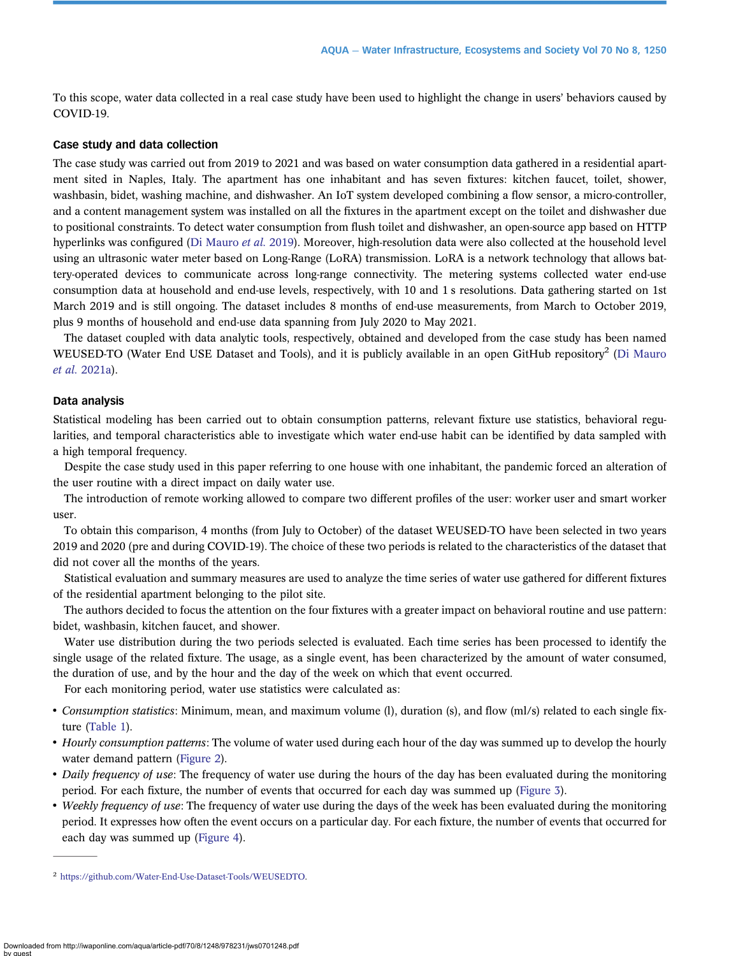To this scope, water data collected in a real case study have been used to highlight the change in users' behaviors caused by COVID-19.

#### Case study and data collection

The case study was carried out from 2019 to 2021 and was based on water consumption data gathered in a residential apartment sited in Naples, Italy. The apartment has one inhabitant and has seven fixtures: kitchen faucet, toilet, shower, washbasin, bidet, washing machine, and dishwasher. An IoT system developed combining a flow sensor, a micro-controller, and a content management system was installed on all the fixtures in the apartment except on the toilet and dishwasher due to positional constraints. To detect water consumption from flush toilet and dishwasher, an open-source app based on HTTP hyperlinks was configured ([Di Mauro](#page-7-0) et al. 2019). Moreover, high-resolution data were also collected at the household level using an ultrasonic water meter based on Long-Range (LoRA) transmission. LoRA is a network technology that allows battery-operated devices to communicate across long-range connectivity. The metering systems collected water end-use consumption data at household and end-use levels, respectively, with 10 and 1 s resolutions. Data gathering started on 1st March 2019 and is still ongoing. The dataset includes 8 months of end-use measurements, from March to October 2019, plus 9 months of household and end-use data spanning from July 2020 to May 2021.

The dataset coupled with data analytic tools, respectively, obtained and developed from the case study has been named WEUSED-TO (Water End USE Dataset and Tools), and it is publicly available in an open GitHub repository<sup>2</sup> ([Di Mauro](#page-7-0) et al. [2021a](#page-7-0)).

#### Data analysis

Statistical modeling has been carried out to obtain consumption patterns, relevant fixture use statistics, behavioral regularities, and temporal characteristics able to investigate which water end-use habit can be identified by data sampled with a high temporal frequency.

Despite the case study used in this paper referring to one house with one inhabitant, the pandemic forced an alteration of the user routine with a direct impact on daily water use.

The introduction of remote working allowed to compare two different profiles of the user: worker user and smart worker user.

To obtain this comparison, 4 months (from July to October) of the dataset WEUSED-TO have been selected in two years 2019 and 2020 (pre and during COVID-19). The choice of these two periods is related to the characteristics of the dataset that did not cover all the months of the years.

Statistical evaluation and summary measures are used to analyze the time series of water use gathered for different fixtures of the residential apartment belonging to the pilot site.

The authors decided to focus the attention on the four fixtures with a greater impact on behavioral routine and use pattern: bidet, washbasin, kitchen faucet, and shower.

Water use distribution during the two periods selected is evaluated. Each time series has been processed to identify the single usage of the related fixture. The usage, as a single event, has been characterized by the amount of water consumed, the duration of use, and by the hour and the day of the week on which that event occurred.

For each monitoring period, water use statistics were calculated as:

- Consumption statistics: Minimum, mean, and maximum volume (l), duration (s), and flow (ml/s) related to each single fixture ([Table 1](#page-3-0)).
- Hourly consumption patterns: The volume of water used during each hour of the day was summed up to develop the hourly water demand pattern [\(Figure 2\)](#page-4-0).
- Daily frequency of use: The frequency of water use during the hours of the day has been evaluated during the monitoring period. For each fixture, the number of events that occurred for each day was summed up [\(Figure 3\)](#page-5-0).
- Weekly frequency of use: The frequency of water use during the days of the week has been evaluated during the monitoring period. It expresses how often the event occurs on a particular day. For each fixture, the number of events that occurred for each day was summed up [\(Figure 4\)](#page-6-0).

<sup>2</sup> [https://github.com/Water-End-Use-Dataset-Tools/WEUSEDTO.](https://github.com/Water-End-Use-Dataset-Tools/WEUSEDTO)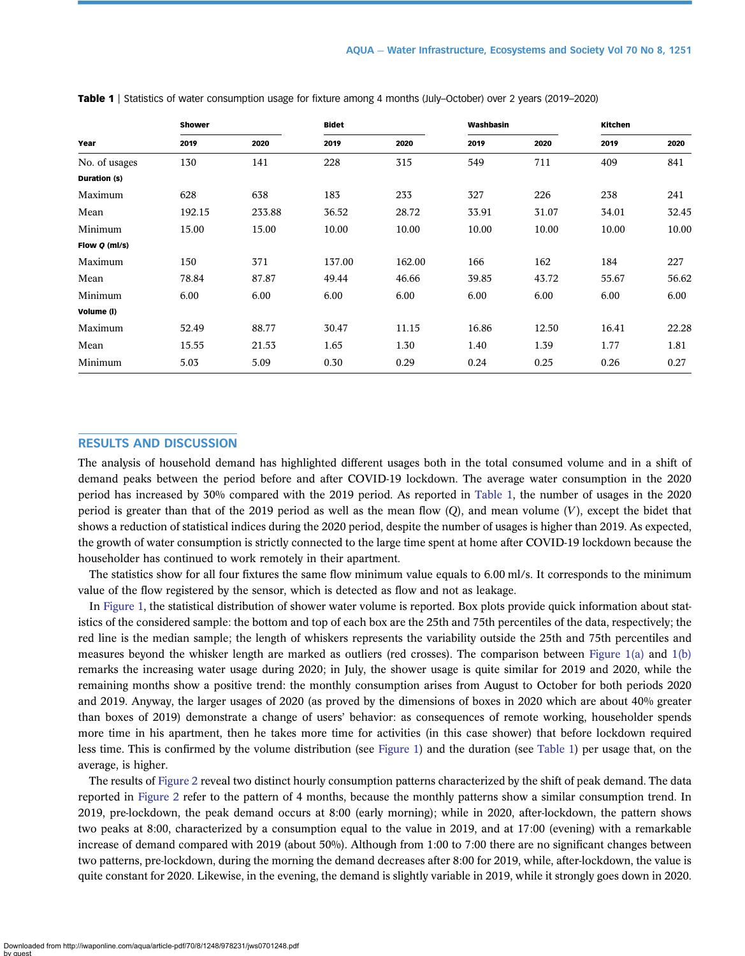| Year          | <b>Shower</b> |        | <b>Bidet</b> |        | Washbasin |       | Kitchen |       |
|---------------|---------------|--------|--------------|--------|-----------|-------|---------|-------|
|               | 2019          | 2020   | 2019         | 2020   | 2019      | 2020  | 2019    | 2020  |
| No. of usages | 130           | 141    | 228          | 315    | 549       | 711   | 409     | 841   |
| Duration (s)  |               |        |              |        |           |       |         |       |
| Maximum       | 628           | 638    | 183          | 233    | 327       | 226   | 238     | 241   |
| Mean          | 192.15        | 233.88 | 36.52        | 28.72  | 33.91     | 31.07 | 34.01   | 32.45 |
| Minimum       | 15.00         | 15.00  | 10.00        | 10.00  | 10.00     | 10.00 | 10.00   | 10.00 |
| Flow Q (ml/s) |               |        |              |        |           |       |         |       |
| Maximum       | 150           | 371    | 137.00       | 162.00 | 166       | 162   | 184     | 227   |
| Mean          | 78.84         | 87.87  | 49.44        | 46.66  | 39.85     | 43.72 | 55.67   | 56.62 |
| Minimum       | 6.00          | 6.00   | 6.00         | 6.00   | 6.00      | 6.00  | 6.00    | 6.00  |
| Volume (I)    |               |        |              |        |           |       |         |       |
| Maximum       | 52.49         | 88.77  | 30.47        | 11.15  | 16.86     | 12.50 | 16.41   | 22.28 |
| Mean          | 15.55         | 21.53  | 1.65         | 1.30   | 1.40      | 1.39  | 1.77    | 1.81  |
| Minimum       | 5.03          | 5.09   | 0.30         | 0.29   | 0.24      | 0.25  | 0.26    | 0.27  |

<span id="page-3-0"></span>Table 1 | Statistics of water consumption usage for fixture among 4 months (July–October) over 2 years (2019–2020)

### RESULTS AND DISCUSSION

The analysis of household demand has highlighted different usages both in the total consumed volume and in a shift of demand peaks between the period before and after COVID-19 lockdown. The average water consumption in the 2020 period has increased by 30% compared with the 2019 period. As reported in Table 1, the number of usages in the 2020 period is greater than that of the 2019 period as well as the mean flow  $(Q)$ , and mean volume  $(V)$ , except the bidet that shows a reduction of statistical indices during the 2020 period, despite the number of usages is higher than 2019. As expected, the growth of water consumption is strictly connected to the large time spent at home after COVID-19 lockdown because the householder has continued to work remotely in their apartment.

The statistics show for all four fixtures the same flow minimum value equals to 6.00 ml/s. It corresponds to the minimum value of the flow registered by the sensor, which is detected as flow and not as leakage.

In [Figure 1,](#page-4-0) the statistical distribution of shower water volume is reported. Box plots provide quick information about statistics of the considered sample: the bottom and top of each box are the 25th and 75th percentiles of the data, respectively; the red line is the median sample; the length of whiskers represents the variability outside the 25th and 75th percentiles and measures beyond the whisker length are marked as outliers (red crosses). The comparison between [Figure 1\(a\)](#page-4-0) and [1\(b\)](#page-4-0) remarks the increasing water usage during 2020; in July, the shower usage is quite similar for 2019 and 2020, while the remaining months show a positive trend: the monthly consumption arises from August to October for both periods 2020 and 2019. Anyway, the larger usages of 2020 (as proved by the dimensions of boxes in 2020 which are about 40% greater than boxes of 2019) demonstrate a change of users' behavior: as consequences of remote working, householder spends more time in his apartment, then he takes more time for activities (in this case shower) that before lockdown required less time. This is confirmed by the volume distribution (see [Figure 1](#page-4-0)) and the duration (see Table 1) per usage that, on the average, is higher.

The results of [Figure 2](#page-4-0) reveal two distinct hourly consumption patterns characterized by the shift of peak demand. The data reported in [Figure 2](#page-4-0) refer to the pattern of 4 months, because the monthly patterns show a similar consumption trend. In 2019, pre-lockdown, the peak demand occurs at 8:00 (early morning); while in 2020, after-lockdown, the pattern shows two peaks at 8:00, characterized by a consumption equal to the value in 2019, and at 17:00 (evening) with a remarkable increase of demand compared with 2019 (about 50%). Although from 1:00 to 7:00 there are no significant changes between two patterns, pre-lockdown, during the morning the demand decreases after 8:00 for 2019, while, after-lockdown, the value is quite constant for 2020. Likewise, in the evening, the demand is slightly variable in 2019, while it strongly goes down in 2020.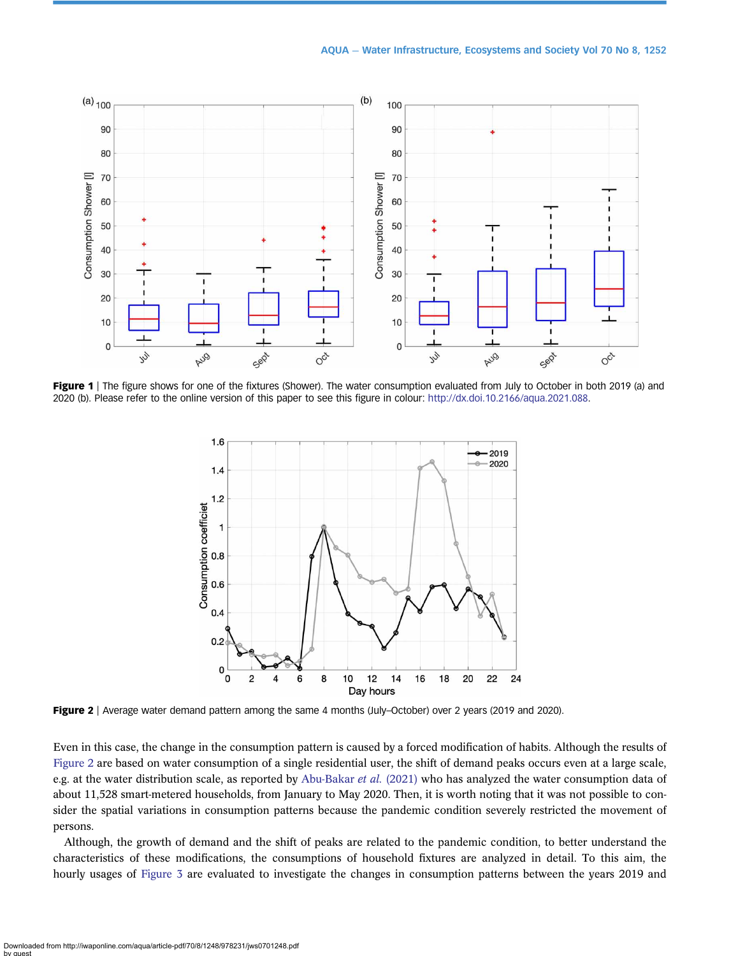<span id="page-4-0"></span>

Figure 1 | The figure shows for one of the fixtures (Shower). The water consumption evaluated from July to October in both 2019 (a) and 2020 (b). Please refer to the online version of this paper to see this figure in colour: <http://dx.doi.10.2166/aqua.2021.088>.



Figure 2 | Average water demand pattern among the same 4 months (July-October) over 2 years (2019 and 2020).

Even in this case, the change in the consumption pattern is caused by a forced modification of habits. Although the results of Figure 2 are based on water consumption of a single residential user, the shift of demand peaks occurs even at a large scale, e.g. at the water distribution scale, as reported by [Abu-Bakar](#page-7-0) et al. (2021) who has analyzed the water consumption data of about 11,528 smart-metered households, from January to May 2020. Then, it is worth noting that it was not possible to consider the spatial variations in consumption patterns because the pandemic condition severely restricted the movement of persons.

Although, the growth of demand and the shift of peaks are related to the pandemic condition, to better understand the characteristics of these modifications, the consumptions of household fixtures are analyzed in detail. To this aim, the hourly usages of [Figure 3](#page-5-0) are evaluated to investigate the changes in consumption patterns between the years 2019 and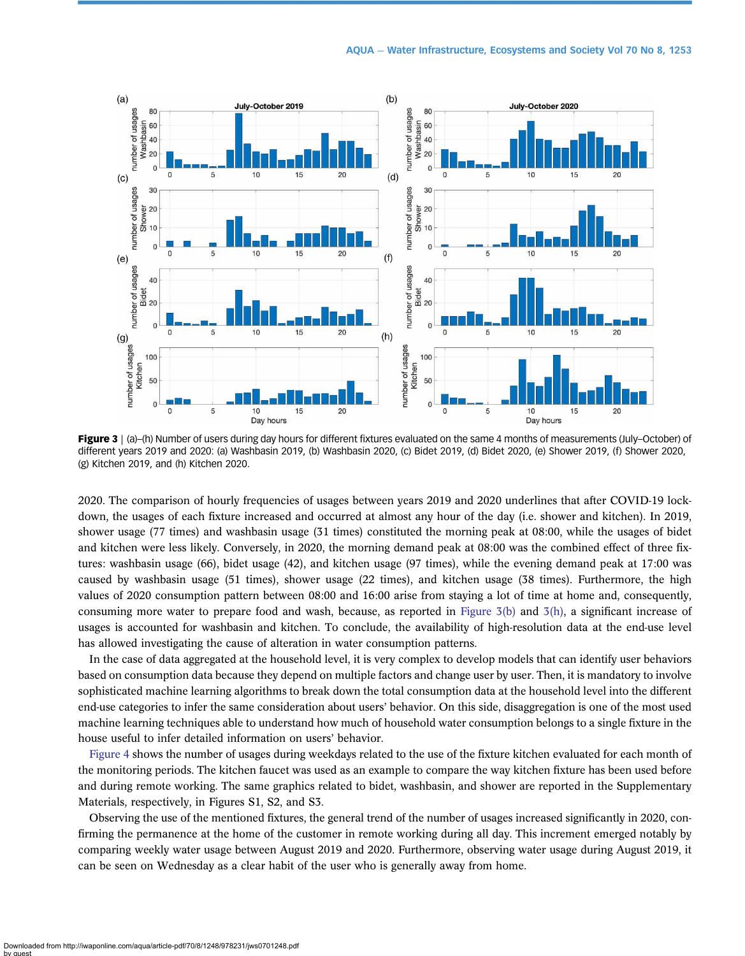<span id="page-5-0"></span>

Figure 3 | (a)–(h) Number of users during day hours for different fixtures evaluated on the same 4 months of measurements (July–October) of different years 2019 and 2020: (a) Washbasin 2019, (b) Washbasin 2020, (c) Bidet 2019, (d) Bidet 2020, (e) Shower 2019, (f) Shower 2020, (g) Kitchen 2019, and (h) Kitchen 2020.

2020. The comparison of hourly frequencies of usages between years 2019 and 2020 underlines that after COVID-19 lockdown, the usages of each fixture increased and occurred at almost any hour of the day (i.e. shower and kitchen). In 2019, shower usage (77 times) and washbasin usage (31 times) constituted the morning peak at 08:00, while the usages of bidet and kitchen were less likely. Conversely, in 2020, the morning demand peak at 08:00 was the combined effect of three fixtures: washbasin usage (66), bidet usage (42), and kitchen usage (97 times), while the evening demand peak at 17:00 was caused by washbasin usage (51 times), shower usage (22 times), and kitchen usage (38 times). Furthermore, the high values of 2020 consumption pattern between 08:00 and 16:00 arise from staying a lot of time at home and, consequently, consuming more water to prepare food and wash, because, as reported in Figure 3(b) and 3(h), a significant increase of usages is accounted for washbasin and kitchen. To conclude, the availability of high-resolution data at the end-use level has allowed investigating the cause of alteration in water consumption patterns.

In the case of data aggregated at the household level, it is very complex to develop models that can identify user behaviors based on consumption data because they depend on multiple factors and change user by user. Then, it is mandatory to involve sophisticated machine learning algorithms to break down the total consumption data at the household level into the different end-use categories to infer the same consideration about users' behavior. On this side, disaggregation is one of the most used machine learning techniques able to understand how much of household water consumption belongs to a single fixture in the house useful to infer detailed information on users' behavior.

[Figure 4](#page-6-0) shows the number of usages during weekdays related to the use of the fixture kitchen evaluated for each month of the monitoring periods. The kitchen faucet was used as an example to compare the way kitchen fixture has been used before and during remote working. The same graphics related to bidet, washbasin, and shower are reported in the Supplementary Materials, respectively, in Figures S1, S2, and S3.

Observing the use of the mentioned fixtures, the general trend of the number of usages increased significantly in 2020, confirming the permanence at the home of the customer in remote working during all day. This increment emerged notably by comparing weekly water usage between August 2019 and 2020. Furthermore, observing water usage during August 2019, it can be seen on Wednesday as a clear habit of the user who is generally away from home.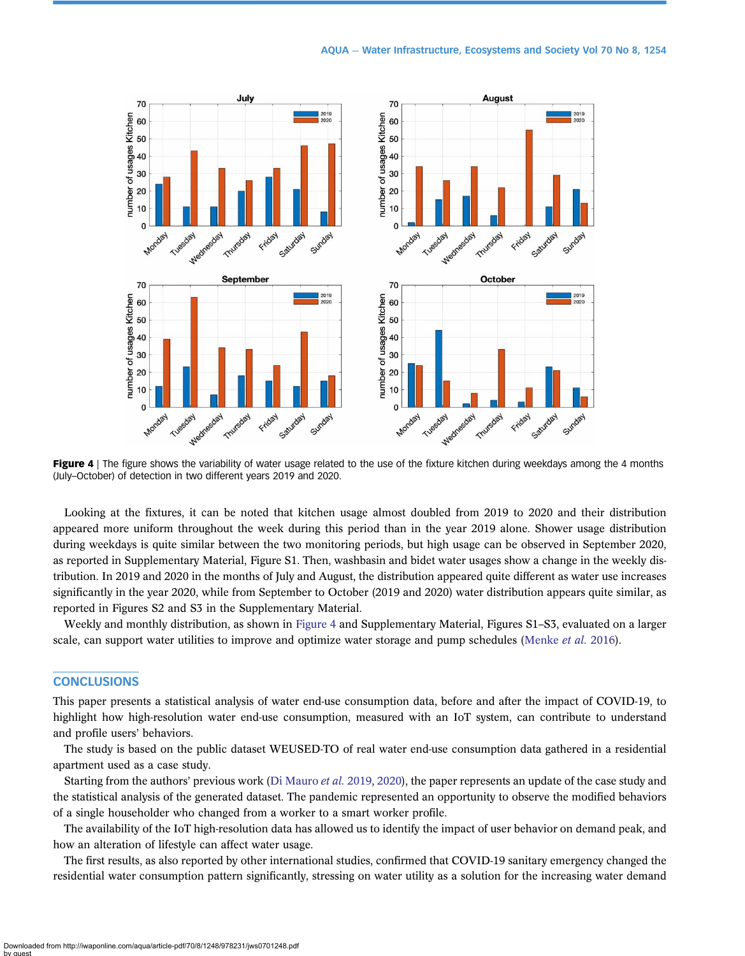<span id="page-6-0"></span>

Figure 4 | The figure shows the variability of water usage related to the use of the fixture kitchen during weekdays among the 4 months (July–October) of detection in two different years 2019 and 2020.

Looking at the fixtures, it can be noted that kitchen usage almost doubled from 2019 to 2020 and their distribution appeared more uniform throughout the week during this period than in the year 2019 alone. Shower usage distribution during weekdays is quite similar between the two monitoring periods, but high usage can be observed in September 2020, as reported in Supplementary Material, Figure S1. Then, washbasin and bidet water usages show a change in the weekly distribution. In 2019 and 2020 in the months of July and August, the distribution appeared quite different as water use increases significantly in the year 2020, while from September to October (2019 and 2020) water distribution appears quite similar, as reported in Figures S2 and S3 in the Supplementary Material.

Weekly and monthly distribution, as shown in Figure 4 and Supplementary Material, Figures S1–S3, evaluated on a larger scale, can support water utilities to improve and optimize water storage and pump schedules [\(Menke](#page-7-0) et al. 2016).

## **CONCLUSIONS**

This paper presents a statistical analysis of water end-use consumption data, before and after the impact of COVID-19, to highlight how high-resolution water end-use consumption, measured with an IoT system, can contribute to understand and profile users' behaviors.

The study is based on the public dataset WEUSED-TO of real water end-use consumption data gathered in a residential apartment used as a case study.

Starting from the authors' previous work [\(Di Mauro](#page-7-0) *et al.* 2019, [2020\)](#page-7-0), the paper represents an update of the case study and the statistical analysis of the generated dataset. The pandemic represented an opportunity to observe the modified behaviors of a single householder who changed from a worker to a smart worker profile.

The availability of the IoT high-resolution data has allowed us to identify the impact of user behavior on demand peak, and how an alteration of lifestyle can affect water usage.

The first results, as also reported by other international studies, confirmed that COVID-19 sanitary emergency changed the residential water consumption pattern significantly, stressing on water utility as a solution for the increasing water demand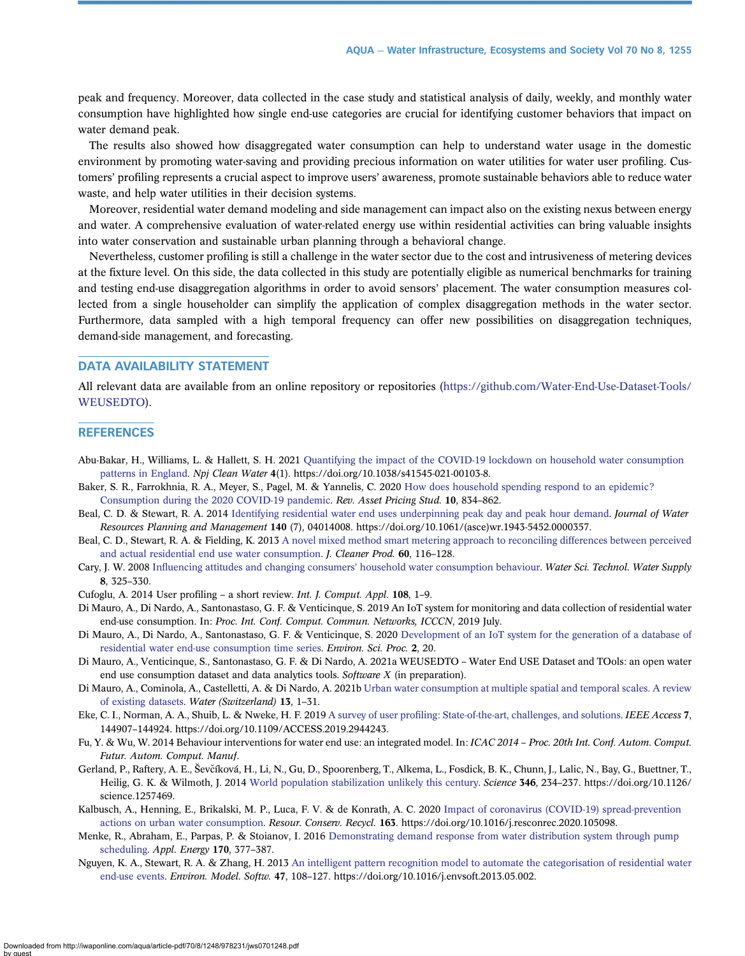<span id="page-7-0"></span>peak and frequency. Moreover, data collected in the case study and statistical analysis of daily, weekly, and monthly water consumption have highlighted how single end-use categories are crucial for identifying customer behaviors that impact on water demand peak.

The results also showed how disaggregated water consumption can help to understand water usage in the domestic environment by promoting water-saving and providing precious information on water utilities for water user profiling. Customers' profiling represents a crucial aspect to improve users' awareness, promote sustainable behaviors able to reduce water waste, and help water utilities in their decision systems.

Moreover, residential water demand modeling and side management can impact also on the existing nexus between energy and water. A comprehensive evaluation of water-related energy use within residential activities can bring valuable insights into water conservation and sustainable urban planning through a behavioral change.

Nevertheless, customer profiling is still a challenge in the water sector due to the cost and intrusiveness of metering devices at the fixture level. On this side, the data collected in this study are potentially eligible as numerical benchmarks for training and testing end-use disaggregation algorithms in order to avoid sensors' placement. The water consumption measures collected from a single householder can simplify the application of complex disaggregation methods in the water sector. Furthermore, data sampled with a high temporal frequency can offer new possibilities on disaggregation techniques, demand-side management, and forecasting.

#### DATA AVAILABILITY STATEMENT

All relevant data are available from an online repository or repositories ([https://github.com/Water-End-Use-Dataset-Tools/](https://github.com/Water-End-Use-Dataset-Tools/WEUSEDTO) [WEUSEDTO\)](https://github.com/Water-End-Use-Dataset-Tools/WEUSEDTO).

#### **REFERENCES**

- Abu-Bakar, H., Williams, L. & Hallett, S. H. 2021 [Quantifying the impact of the COVID-19 lockdown on household water consumption](http://dx.doi.org/10.1038/s41545-021-00103-8) [patterns in England](http://dx.doi.org/10.1038/s41545-021-00103-8). Npj Clean Water 4(1). https://doi.org/10.1038/s41545-021-00103-8.
- Baker, S. R., Farrokhnia, R. A., Meyer, S., Pagel, M. & Yannelis, C. 2020 [How does household spending respond to an epidemic?](http://dx.doi.org/10.1093/rapstu/raaa009) [Consumption during the 2020 COVID-19 pandemic](http://dx.doi.org/10.1093/rapstu/raaa009). Rev. Asset Pricing Stud. 10, 834–862.
- Beal, C. D. & Stewart, R. A. 2014 [Identifying residential water end uses underpinning peak day and peak hour demand](http://dx.doi.org/10.1061/(ASCE)WR.1943-5452.0000357). Journal of Water Resources Planning and Management 140 (7), 04014008. https://doi.org/10.1061/(asce)wr.1943-5452.0000357.
- Beal, C. D., Stewart, R. A. & Fielding, K. 2013 [A novel mixed method smart metering approach to reconciling differences between perceived](http://dx.doi.org/10.1016/j.jclepro.2011.09.007) [and actual residential end use water consumption](http://dx.doi.org/10.1016/j.jclepro.2011.09.007). J. Cleaner Prod. 60, 116–128.
- Cary, J. W. 2008 Infl[uencing attitudes and changing consumers](http://dx.doi.org/10.2166/ws.2008.078)' household water consumption behaviour. Water Sci. Technol. Water Supply 8, 325–330.
- Cufoglu, A. 2014 User profiling a short review. Int. J. Comput. Appl. 108, 1–9.
- Di Mauro, A., Di Nardo, A., Santonastaso, G. F. & Venticinque, S. 2019 An IoT system for monitoring and data collection of residential water end-use consumption. In: Proc. Int. Conf. Comput. Commun. Networks, ICCCN, 2019 July.
- Di Mauro, A., Di Nardo, A., Santonastaso, G. F. & Venticinque, S. 2020 [Development of an IoT system for the generation of a database of](http://dx.doi.org/10.3390/environsciproc2020002020) [residential water end-use consumption time series.](http://dx.doi.org/10.3390/environsciproc2020002020) Environ. Sci. Proc. 2, 20.
- Di Mauro, A., Venticinque, S., Santonastaso, G. F. & Di Nardo, A. 2021a WEUSEDTO Water End USE Dataset and TOols: an open water end use consumption dataset and data analytics tools. Software X (in preparation).
- Di Mauro, A., Cominola, A., Castelletti, A. & Di Nardo, A. 2021b [Urban water consumption at multiple spatial and temporal scales. A review](http://dx.doi.org/10.3390/w13010036) [of existing datasets](http://dx.doi.org/10.3390/w13010036). Water (Switzerland) 13, 1–31.
- Eke, C. I., Norman, A. A., Shuib, L. & Nweke, H. F. 2019 A survey of user profi[ling: State-of-the-art, challenges, and solutions.](http://dx.doi.org/10.1109/ACCESS.2019.2944243) IEEE Access 7, 144907–144924. https://doi.org/10.1109/ACCESS.2019.2944243.
- Fu, Y. & Wu, W. 2014 Behaviour interventions for water end use: an integrated model. In: ICAC 2014 Proc. 20th Int. Conf. Autom. Comput. Futur. Autom. Comput. Manuf.
- Gerland, P., Raftery, A. E., Ševčíková, H., Li, N., Gu, D., Spoorenberg, T., Alkema, L., Fosdick, B. K., Chunn, J., Lalic, N., Bay, G., Buettner, T., Heilig, G. K. & Wilmoth, J. 2014 [World population stabilization unlikely this century](http://dx.doi.org/10.1126/science.1257469). Science 346, 234–237. https://doi.org/10.1126/ science.1257469.
- Kalbusch, A., Henning, E., Brikalski, M. P., Luca, F. V. & de Konrath, A. C. 2020 [Impact of coronavirus \(COVID-19\) spread-prevention](http://dx.doi.org/10.1016/j.resconrec.2020.105098) [actions on urban water consumption](http://dx.doi.org/10.1016/j.resconrec.2020.105098). Resour. Conserv. Recycl. 163. https://doi.org/10.1016/j.resconrec.2020.105098.
- Menke, R., Abraham, E., Parpas, P. & Stoianov, I. 2016 [Demonstrating demand response from water distribution system through pump](http://dx.doi.org/10.1016/j.apenergy.2016.02.136) [scheduling.](http://dx.doi.org/10.1016/j.apenergy.2016.02.136) Appl. Energy 170, 377–387.
- Nguyen, K. A., Stewart, R. A. & Zhang, H. 2013 [An intelligent pattern recognition model to automate the categorisation of residential water](http://dx.doi.org/10.1016/j.envsoft.2013.05.002) [end-use events.](http://dx.doi.org/10.1016/j.envsoft.2013.05.002) Environ. Model. Softw. 47, 108-127. https://doi.org/10.1016/j.envsoft.2013.05.002.